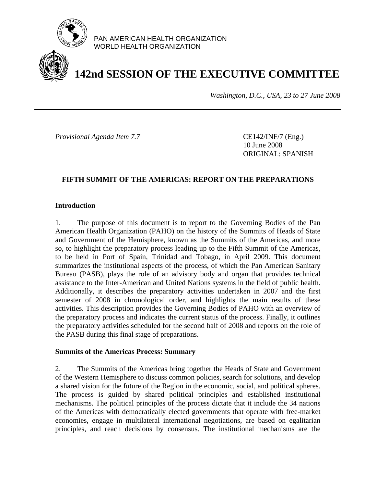

PAN AMERICAN HEALTH ORGANIZATION WORLD HEALTH ORGANIZATION

# **142nd SESSION OF THE EXECUTIVE COMMITTEE**

*Washington, D.C., USA, 23 to 27 June 2008*

*Provisional Agenda Item 7.7* CE142/INF/7 (Eng.)

 10 June 2008 ORIGINAL: SPANISH

### **FIFTH SUMMIT OF THE AMERICAS: REPORT ON THE PREPARATIONS**

#### **Introduction**

1. The purpose of this document is to report to the Governing Bodies of the Pan American Health Organization (PAHO) on the history of the Summits of Heads of State and Government of the Hemisphere, known as the Summits of the Americas, and more so, to highlight the preparatory process leading up to the Fifth Summit of the Americas, to be held in Port of Spain, Trinidad and Tobago, in April 2009. This document summarizes the institutional aspects of the process, of which the Pan American Sanitary Bureau (PASB), plays the role of an advisory body and organ that provides technical assistance to the Inter-American and United Nations systems in the field of public health. Additionally, it describes the preparatory activities undertaken in 2007 and the first semester of 2008 in chronological order, and highlights the main results of these activities. This description provides the Governing Bodies of PAHO with an overview of the preparatory process and indicates the current status of the process. Finally, it outlines the preparatory activities scheduled for the second half of 2008 and reports on the role of the PASB during this final stage of preparations.

#### **Summits of the Americas Process: Summary**

2. The Summits of the Americas bring together the Heads of State and Government of the Western Hemisphere to discuss common policies, search for solutions, and develop a shared vision for the future of the Region in the economic, social, and political spheres. The process is guided by shared political principles and established institutional mechanisms. The political principles of the process dictate that it include the 34 nations of the Americas with democratically elected governments that operate with free-market economies, engage in multilateral international negotiations, are based on egalitarian principles, and reach decisions by consensus. The institutional mechanisms are the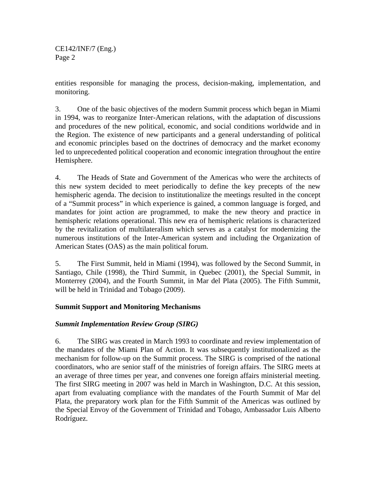entities responsible for managing the process, decision-making, implementation, and monitoring.

3. One of the basic objectives of the modern Summit process which began in Miami in 1994, was to reorganize Inter-American relations, with the adaptation of discussions and procedures of the new political, economic, and social conditions worldwide and in the Region. The existence of new participants and a general understanding of political and economic principles based on the doctrines of democracy and the market economy led to unprecedented political cooperation and economic integration throughout the entire Hemisphere.

4. The Heads of State and Government of the Americas who were the architects of this new system decided to meet periodically to define the key precepts of the new hemispheric agenda. The decision to institutionalize the meetings resulted in the concept of a "Summit process" in which experience is gained, a common language is forged, and mandates for joint action are programmed, to make the new theory and practice in hemispheric relations operational. This new era of hemispheric relations is characterized by the revitalization of multilateralism which serves as a catalyst for modernizing the numerous institutions of the Inter-American system and including the Organization of American States (OAS) as the main political forum.

5. The First Summit, held in Miami (1994), was followed by the Second Summit, in Santiago, Chile (1998), the Third Summit, in Quebec (2001), the Special Summit, in Monterrey (2004), and the Fourth Summit, in Mar del Plata (2005). The Fifth Summit, will be held in Trinidad and Tobago (2009).

### **Summit Support and Monitoring Mechanisms**

### *Summit Implementation Review Group (SIRG)*

6. The SIRG was created in March 1993 to coordinate and review implementation of the mandates of the Miami Plan of Action. It was subsequently institutionalized as the mechanism for follow-up on the Summit process. The SIRG is comprised of the national coordinators, who are senior staff of the ministries of foreign affairs. The SIRG meets at an average of three times per year, and convenes one foreign affairs ministerial meeting. The first SIRG meeting in 2007 was held in March in Washington, D.C. At this session, apart from evaluating compliance with the mandates of the Fourth Summit of Mar del Plata, the preparatory work plan for the Fifth Summit of the Americas was outlined by the Special Envoy of the Government of Trinidad and Tobago, Ambassador Luis Alberto Rodríguez.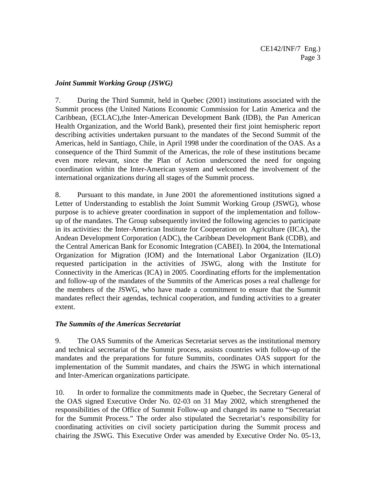# *Joint Summit Working Group (JSWG)*

7. During the Third Summit, held in Quebec (2001) institutions associated with the Summit process (the United Nations Economic Commission for Latin America and the Caribbean, (ECLAC),the Inter-American Development Bank (IDB), the Pan American Health Organization, and the World Bank), presented their first joint hemispheric report describing activities undertaken pursuant to the mandates of the Second Summit of the Americas, held in Santiago, Chile, in April 1998 under the coordination of the OAS. As a consequence of the Third Summit of the Americas, the role of these institutions became even more relevant, since the Plan of Action underscored the need for ongoing coordination within the Inter-American system and welcomed the involvement of the international organizations during all stages of the Summit process.

8. Pursuant to this mandate, in June 2001 the aforementioned institutions signed a Letter of Understanding to establish the Joint Summit Working Group (JSWG), whose purpose is to achieve greater coordination in support of the implementation and followup of the mandates. The Group subsequently invited the following agencies to participate in its activities: the Inter-American Institute for Cooperation on Agriculture (IICA), the Andean Development Corporation (ADC), the Caribbean Development Bank (CDB), and the Central American Bank for Economic Integration (CABEI). In 2004, the International Organization for Migration (IOM) and the International Labor Organization (ILO) requested participation in the activities of JSWG, along with the Institute for Connectivity in the Americas (ICA) in 2005. Coordinating efforts for the implementation and follow-up of the mandates of the Summits of the Americas poses a real challenge for the members of the JSWG, who have made a commitment to ensure that the Summit mandates reflect their agendas, technical cooperation, and funding activities to a greater extent.

### *The Summits of the Americas Secretariat*

9. The OAS Summits of the Americas Secretariat serves as the institutional memory and technical secretariat of the Summit process, assists countries with follow-up of the mandates and the preparations for future Summits, coordinates OAS support for the implementation of the Summit mandates, and chairs the JSWG in which international and Inter-American organizations participate.

10. In order to formalize the commitments made in Quebec, the Secretary General of the OAS signed Executive Order No. 02-03 on 31 May 2002, which strengthened the responsibilities of the Office of Summit Follow-up and changed its name to "Secretariat for the Summit Process." The order also stipulated the Secretariat's responsibility for coordinating activities on civil society participation during the Summit process and chairing the JSWG. This Executive Order was amended by Executive Order No. 05-13,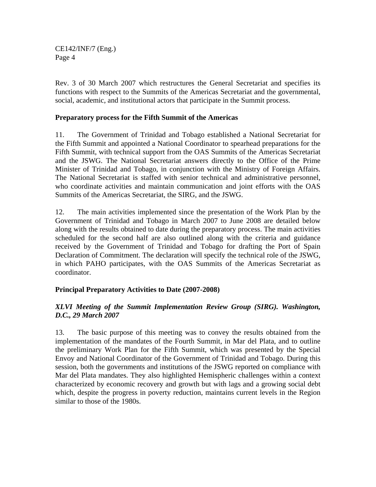Rev. 3 of 30 March 2007 which restructures the General Secretariat and specifies its functions with respect to the Summits of the Americas Secretariat and the governmental, social, academic, and institutional actors that participate in the Summit process.

#### **Preparatory process for the Fifth Summit of the Americas**

11. The Government of Trinidad and Tobago established a National Secretariat for the Fifth Summit and appointed a National Coordinator to spearhead preparations for the Fifth Summit, with technical support from the OAS Summits of the Americas Secretariat and the JSWG. The National Secretariat answers directly to the Office of the Prime Minister of Trinidad and Tobago, in conjunction with the Ministry of Foreign Affairs. The National Secretariat is staffed with senior technical and administrative personnel, who coordinate activities and maintain communication and joint efforts with the OAS Summits of the Americas Secretariat, the SIRG, and the JSWG.

12. The main activities implemented since the presentation of the Work Plan by the Government of Trinidad and Tobago in March 2007 to June 2008 are detailed below along with the results obtained to date during the preparatory process. The main activities scheduled for the second half are also outlined along with the criteria and guidance received by the Government of Trinidad and Tobago for drafting the Port of Spain Declaration of Commitment. The declaration will specify the technical role of the JSWG, in which PAHO participates, with the OAS Summits of the Americas Secretariat as coordinator.

### **Principal Preparatory Activities to Date (2007-2008)**

### *XLVI Meeting of the Summit Implementation Review Group (SIRG). Washington, D.C., 29 March 2007*

13. The basic purpose of this meeting was to convey the results obtained from the implementation of the mandates of the Fourth Summit, in Mar del Plata, and to outline the preliminary Work Plan for the Fifth Summit, which was presented by the Special Envoy and National Coordinator of the Government of Trinidad and Tobago. During this session, both the governments and institutions of the JSWG reported on compliance with Mar del Plata mandates. They also highlighted Hemispheric challenges within a context characterized by economic recovery and growth but with lags and a growing social debt which, despite the progress in poverty reduction, maintains current levels in the Region similar to those of the 1980s.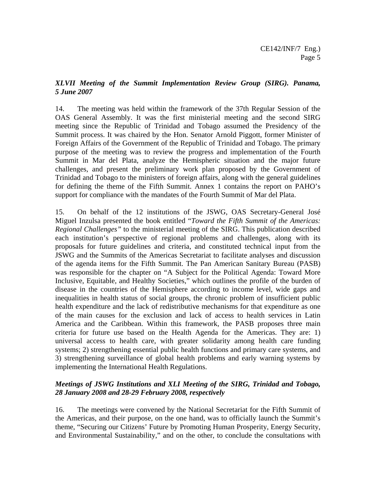#### *XLVII Meeting of the Summit Implementation Review Group (SIRG). Panama, 5 June 2007*

14. The meeting was held within the framework of the 37th Regular Session of the OAS General Assembly. It was the first ministerial meeting and the second SIRG meeting since the Republic of Trinidad and Tobago assumed the Presidency of the Summit process. It was chaired by the Hon. Senator Arnold Piggott, former Minister of Foreign Affairs of the Government of the Republic of Trinidad and Tobago. The primary purpose of the meeting was to review the progress and implementation of the Fourth Summit in Mar del Plata, analyze the Hemispheric situation and the major future challenges, and present the preliminary work plan proposed by the Government of Trinidad and Tobago to the ministers of foreign affairs, along with the general guidelines for defining the theme of the Fifth Summit. Annex 1 contains the report on PAHO's support for compliance with the mandates of the Fourth Summit of Mar del Plata.

15. On behalf of the 12 institutions of the JSWG, OAS Secretary-General José Miguel Inzulsa presented the book entitled "*Toward the Fifth Summit of the Americas: Regional Challenges"* to the ministerial meeting of the SIRG. This publication described each institution's perspective of regional problems and challenges, along with its proposals for future guidelines and criteria, and constituted technical input from the JSWG and the Summits of the Americas Secretariat to facilitate analyses and discussion of the agenda items for the Fifth Summit. The Pan American Sanitary Bureau (PASB) was responsible for the chapter on "A Subject for the Political Agenda: Toward More Inclusive, Equitable, and Healthy Societies," which outlines the profile of the burden of disease in the countries of the Hemisphere according to income level, wide gaps and inequalities in health status of social groups, the chronic problem of insufficient public health expenditure and the lack of redistributive mechanisms for that expenditure as one of the main causes for the exclusion and lack of access to health services in Latin America and the Caribbean. Within this framework, the PASB proposes three main criteria for future use based on the Health Agenda for the Americas. They are: 1) universal access to health care, with greater solidarity among health care funding systems; 2) strengthening essential public health functions and primary care systems, and 3) strengthening surveillance of global health problems and early warning systems by implementing the International Health Regulations.

#### *Meetings of JSWG Institutions and XLI Meeting of the SIRG, Trinidad and Tobago, 28 January 2008 and 28-29 February 2008, respectively*

16. The meetings were convened by the National Secretariat for the Fifth Summit of the Americas, and their purpose, on the one hand, was to officially launch the Summit's theme, "Securing our Citizens' Future by Promoting Human Prosperity, Energy Security, and Environmental Sustainability," and on the other, to conclude the consultations with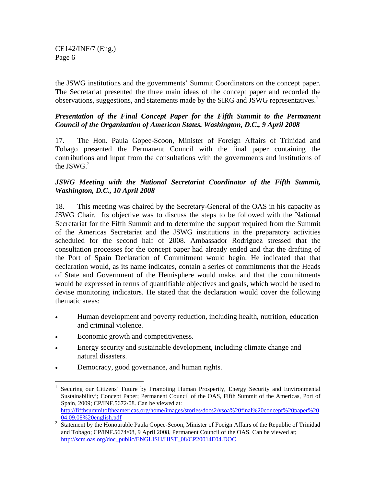the JSWG institutions and the governments' Summit Coordinators on the concept paper. The Secretariat presented the three main ideas of the concept paper and recorded the observations, suggestions, and statements made by the SIRG and JSWG representatives.<sup>1</sup>

### *Presentation of the Final Concept Paper for the Fifth Summit to the Permanent Council of the Organization of American States. Washington, D.C., 9 April 2008*

17. The Hon. Paula Gopee-Scoon, Minister of Foreign Affairs of Trinidad and Tobago presented the Permanent Council with the final paper containing the contributions and input from the consultations with the governments and institutions of the JSW $G<sup>2</sup>$ 

### *JSWG Meeting with the National Secretariat Coordinator of the Fifth Summit, Washington, D.C., 10 April 2008*

18. This meeting was chaired by the Secretary-General of the OAS in his capacity as JSWG Chair. Its objective was to discuss the steps to be followed with the National Secretariat for the Fifth Summit and to determine the support required from the Summit of the Americas Secretariat and the JSWG institutions in the preparatory activities scheduled for the second half of 2008. Ambassador Rodríguez stressed that the consultation processes for the concept paper had already ended and that the drafting of the Port of Spain Declaration of Commitment would begin. He indicated that that declaration would, as its name indicates, contain a series of commitments that the Heads of State and Government of the Hemisphere would make, and that the commitments would be expressed in terms of quantifiable objectives and goals, which would be used to devise monitoring indicators. He stated that the declaration would cover the following thematic areas:

- Human development and poverty reduction, including health, nutrition, education and criminal violence.
- Economic growth and competitiveness.

 $\overline{a}$ 

- Energy security and sustainable development, including climate change and natural disasters.
- Democracy, good governance, and human rights.

<sup>1</sup> Securing our Citizens' Future by Promoting Human Prosperity, Energy Security and Environmental Sustainability'; Concept Paper; Permanent Council of the OAS, Fifth Summit of the Americas, Port of Spain, 2009; CP/INF.5672/08. Can be viewed at: http://fifthsummitoftheamericas.org/home/images/stories/docs2/vsoa%20final%20concept%20paper%20

 $\frac{04.09.08\%20\text{english.pdf}}{Statement by the Honor$  Statement by the Honourable Paula Gopee-Scoon, Minister of Foeign Affairs of the Republic of Trinidad and Tobago; CP/INF.5674/08, 9 April 2008, Permanent Council of the OAS. Can be viewed at; http://scm.oas.org/doc\_public/ENGLISH/HIST\_08/CP20014E04.DOC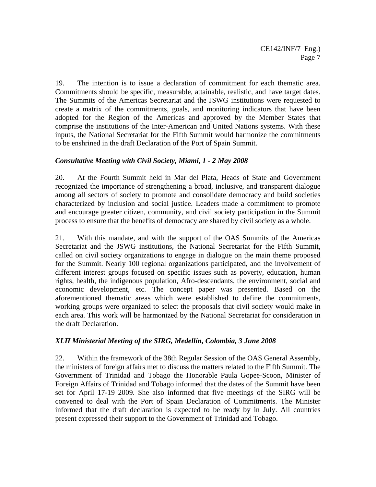19. The intention is to issue a declaration of commitment for each thematic area. Commitments should be specific, measurable, attainable, realistic, and have target dates. The Summits of the Americas Secretariat and the JSWG institutions were requested to create a matrix of the commitments, goals, and monitoring indicators that have been adopted for the Region of the Americas and approved by the Member States that comprise the institutions of the Inter-American and United Nations systems. With these inputs, the National Secretariat for the Fifth Summit would harmonize the commitments to be enshrined in the draft Declaration of the Port of Spain Summit.

# *Consultative Meeting with Civil Society, Miami, 1 - 2 May 2008*

20. At the Fourth Summit held in Mar del Plata, Heads of State and Government recognized the importance of strengthening a broad, inclusive, and transparent dialogue among all sectors of society to promote and consolidate democracy and build societies characterized by inclusion and social justice. Leaders made a commitment to promote and encourage greater citizen, community, and civil society participation in the Summit process to ensure that the benefits of democracy are shared by civil society as a whole.

21. With this mandate, and with the support of the OAS Summits of the Americas Secretariat and the JSWG institutions, the National Secretariat for the Fifth Summit, called on civil society organizations to engage in dialogue on the main theme proposed for the Summit. Nearly 100 regional organizations participated, and the involvement of different interest groups focused on specific issues such as poverty, education, human rights, health, the indigenous population, Afro-descendants, the environment, social and economic development, etc. The concept paper was presented. Based on the aforementioned thematic areas which were established to define the commitments, working groups were organized to select the proposals that civil society would make in each area. This work will be harmonized by the National Secretariat for consideration in the draft Declaration.

### *XLII Ministerial Meeting of the SIRG, Medellín, Colombia, 3 June 2008*

22. Within the framework of the 38th Regular Session of the OAS General Assembly, the ministers of foreign affairs met to discuss the matters related to the Fifth Summit. The Government of Trinidad and Tobago the Honorable Paula Gopee-Scoon, Minister of Foreign Affairs of Trinidad and Tobago informed that the dates of the Summit have been set for April 17-19 2009. She also informed that five meetings of the SIRG will be convened to deal with the Port of Spain Declaration of Commitments. The Minister informed that the draft declaration is expected to be ready by in July. All countries present expressed their support to the Government of Trinidad and Tobago.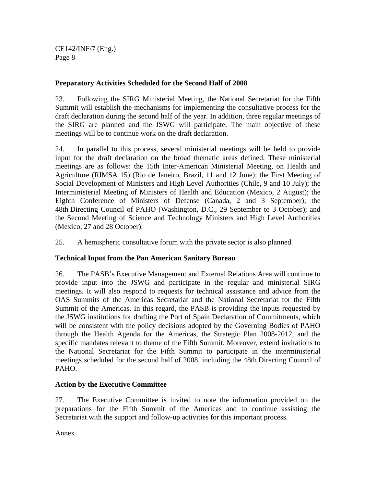# **Preparatory Activities Scheduled for the Second Half of 2008**

23. Following the SIRG Ministerial Meeting, the National Secretariat for the Fifth Summit will establish the mechanisms for implementing the consultative process for the draft declaration during the second half of the year. In addition, three regular meetings of the SIRG are planned and the JSWG will participate. The main objective of these meetings will be to continue work on the draft declaration.

24. In parallel to this process, several ministerial meetings will be held to provide input for the draft declaration on the broad thematic areas defined. These ministerial meetings are as follows: the 15th Inter-American Ministerial Meeting, on Health and Agriculture (RIMSA 15) (Rio de Janeiro, Brazil, 11 and 12 June); the First Meeting of Social Development of Ministers and High Level Authorities (Chile, 9 and 10 July); the Interministerial Meeting of Ministers of Health and Education (Mexico, 2 August); the Eighth Conference of Ministers of Defense (Canada, 2 and 3 September); the 48th Directing Council of PAHO (Washington, D.C., 29 September to 3 October); and the Second Meeting of Science and Technology Ministers and High Level Authorities (Mexico, 27 and 28 October).

25. A hemispheric consultative forum with the private sector is also planned.

# **Technical Input from the Pan American Sanitary Bureau**

26. The PASB's Executive Management and External Relations Area will continue to provide input into the JSWG and participate in the regular and ministerial SIRG meetings. It will also respond to requests for technical assistance and advice from the OAS Summits of the Americas Secretariat and the National Secretariat for the Fifth Summit of the Americas. In this regard, the PASB is providing the inputs requested by the JSWG institutions for drafting the Port of Spain Declaration of Commitments, which will be consistent with the policy decisions adopted by the Governing Bodies of PAHO through the Health Agenda for the Americas, the Strategic Plan 2008-2012, and the specific mandates relevant to theme of the Fifth Summit. Moreover, extend invitations to the National Secretariat for the Fifth Summit to participate in the interministerial meetings scheduled for the second half of 2008, including the 48th Directing Council of PAHO.

# **Action by the Executive Committee**

27. The Executive Committee is invited to note the information provided on the preparations for the Fifth Summit of the Americas and to continue assisting the Secretariat with the support and follow-up activities for this important process.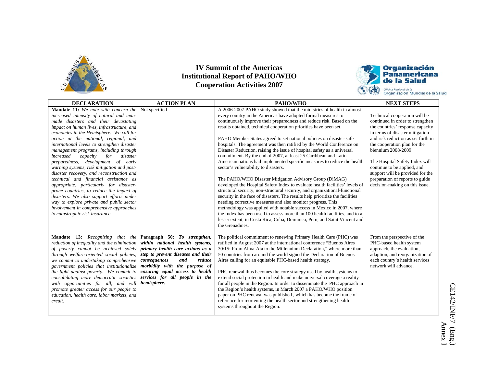



| <b>DECLARATION</b>                                                                                                                                                                                                                                                                                                                                                                                                                                                                                                                                                                                                                                                                                                                                                                                                                     | <b>ACTION PLAN</b>                                                                                                                                                                                                                                                                              | PAHO/WHO                                                                                                                                                                                                                                                                                                                                                                                                                                                                                                                                                                                                                                                                                                                                                                                                                                                                                                                                                                                                                                                                                                                                                                                                                                                                                                                                | <b>NEXT STEPS</b>                                                                                                                                                                                                                                                                                                                                                                                               |
|----------------------------------------------------------------------------------------------------------------------------------------------------------------------------------------------------------------------------------------------------------------------------------------------------------------------------------------------------------------------------------------------------------------------------------------------------------------------------------------------------------------------------------------------------------------------------------------------------------------------------------------------------------------------------------------------------------------------------------------------------------------------------------------------------------------------------------------|-------------------------------------------------------------------------------------------------------------------------------------------------------------------------------------------------------------------------------------------------------------------------------------------------|-----------------------------------------------------------------------------------------------------------------------------------------------------------------------------------------------------------------------------------------------------------------------------------------------------------------------------------------------------------------------------------------------------------------------------------------------------------------------------------------------------------------------------------------------------------------------------------------------------------------------------------------------------------------------------------------------------------------------------------------------------------------------------------------------------------------------------------------------------------------------------------------------------------------------------------------------------------------------------------------------------------------------------------------------------------------------------------------------------------------------------------------------------------------------------------------------------------------------------------------------------------------------------------------------------------------------------------------|-----------------------------------------------------------------------------------------------------------------------------------------------------------------------------------------------------------------------------------------------------------------------------------------------------------------------------------------------------------------------------------------------------------------|
| Mandate 11: We note with concern the<br>increased intensity of natural and man-<br>made disasters and their devastating<br>impact on human lives, infrastructure, and<br>economies in the Hemisphere. We call for<br>action at the national, regional, and<br>international levels to strengthen disaster<br>management programs, including through<br>increased<br>capacity<br>for<br>disaster<br>preparedness, development of early<br>warning systems, risk mitigation and post-<br>disaster recovery, and reconstruction and<br>technical and financial assistance as<br>appropriate, particularly for disaster-<br>prone countries, to reduce the impact of<br>disasters. We also support efforts under<br>way to explore private and public sector<br>involvement in comprehensive approaches<br>to catastrophic risk insurance. | Not specified                                                                                                                                                                                                                                                                                   | A 2006-2007 PAHO study showed that the ministries of health in almost<br>every country in the Americas have adopted formal measures to<br>continuously improve their preparedness and reduce risk. Based on the<br>results obtained, technical cooperation priorities have been set.<br>PAHO Member States agreed to set national policies on disaster-safe<br>hospitals. The agreement was then ratified by the World Conference on<br>Disaster Reduction, raising the issue of hospital safety as a universal<br>commitment. By the end of 2007, at least 25 Caribbean and Latin<br>American nations had implemented specific measures to reduce the health<br>sector's vulnerability to disasters.<br>The PAHO/WHO Disaster Mitigation Advisory Group (DiMAG)<br>developed the Hospital Safety Index to evaluate health facilities' levels of<br>structural security, non-structural security, and organizational-functional<br>security in the face of disasters. The results help prioritize the facilities<br>needing corrective measures and also monitor progress. This<br>methodology was applied with notable success in Mexico in 2007, where<br>the Index has been used to assess more than 100 health facilities, and to a<br>lesser extent, in Costa Rica, Cuba, Dominica, Peru, and Saint Vincent and<br>the Grenadines. | Technical cooperation will be<br>continued in order to strengthen<br>the countries' response capacity<br>in terms of disaster mitigation<br>and risk reduction as set forth in<br>the cooperation plan for the<br>biennium 2008-2009.<br>The Hospital Safety Index will<br>continue to be applied, and<br>support will be provided for the<br>preparation of reports to guide<br>decision-making on this issue. |
| Mandate 13: Recognizing that the<br>reduction of inequality and the elimination<br>of poverty cannot be achieved solely<br>through welfare-oriented social policies,<br>we commit to undertaking comprehensive<br>government policies that institutionalize<br>the fight against poverty. We commit to<br>consolidating more democratic societies<br>with opportunities for all, and will<br>promote greater access for our people to<br>education, health care, labor markets, and<br>credit.                                                                                                                                                                                                                                                                                                                                         | Paragraph 50: To strengthen,<br>within national health systems,<br>primary health care actions as a<br>step to prevent diseases and their<br>consequences<br>reduce<br>and<br>morbidity with the purpose of<br>ensuring equal access to health<br>services for all people in the<br>hemisphere. | The political commitment to renewing Primary Health Care (PHC) was<br>ratified in August 2007 at the international conference "Buenos Aires"<br>30/15: From Alma-Ata to the Millennium Declaration," where more than<br>50 countries from around the world signed the Declaration of Buenos<br>Aires calling for an equitable PHC-based health strategy.<br>PHC renewal thus becomes the core strategy used by health systems to<br>extend social protection in health and make universal coverage a reality<br>for all people in the Region. In order to disseminate the PHC approach in<br>the Region's health systems, in March 2007 a PAHO/WHO position<br>paper on PHC renewal was published, which has become the frame of<br>reference for reorienting the health sector and strengthening health<br>systems throughout the Region.                                                                                                                                                                                                                                                                                                                                                                                                                                                                                              | From the perspective of the<br>PHC-based health system<br>approach, the evaluation,<br>adaption, and reorganization of<br>each country's health services<br>network will advance.                                                                                                                                                                                                                               |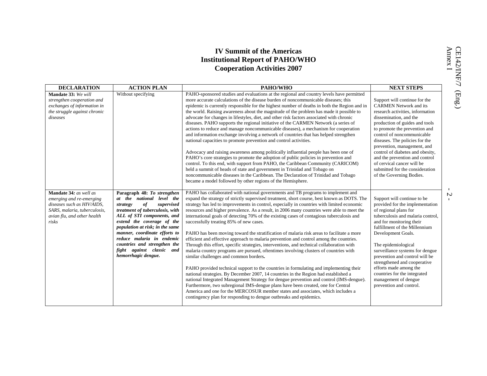| <b>DECLARATION</b>                                                                                                                                       | <b>ACTION PLAN</b>                                                                                                                                                                                                                                                                                                                                                           | PAHO/WHO                                                                                                                                                                                                                                                                                                                                                                                                                                                                                                                                                                                                                                                                                                                                                                                                                                                                                                                                                                                                                                                                                                                                                                                                                                                                                                                                                                                                                                                             | <b>NEXT STEPS</b>                                                                                                                                                                                                                                                                                                                                                                                                                                                 |
|----------------------------------------------------------------------------------------------------------------------------------------------------------|------------------------------------------------------------------------------------------------------------------------------------------------------------------------------------------------------------------------------------------------------------------------------------------------------------------------------------------------------------------------------|----------------------------------------------------------------------------------------------------------------------------------------------------------------------------------------------------------------------------------------------------------------------------------------------------------------------------------------------------------------------------------------------------------------------------------------------------------------------------------------------------------------------------------------------------------------------------------------------------------------------------------------------------------------------------------------------------------------------------------------------------------------------------------------------------------------------------------------------------------------------------------------------------------------------------------------------------------------------------------------------------------------------------------------------------------------------------------------------------------------------------------------------------------------------------------------------------------------------------------------------------------------------------------------------------------------------------------------------------------------------------------------------------------------------------------------------------------------------|-------------------------------------------------------------------------------------------------------------------------------------------------------------------------------------------------------------------------------------------------------------------------------------------------------------------------------------------------------------------------------------------------------------------------------------------------------------------|
| Mandate 33: We will<br>strengthen cooperation and<br>exchanges of information in<br>the struggle against chronic<br>diseases                             | Without specifying                                                                                                                                                                                                                                                                                                                                                           | PAHO-sponsored studies and evaluations at the regional and country levels have permitted<br>more accurate calculations of the disease burden of noncommunicable diseases; this<br>epidemic is currently responsible for the highest number of deaths in both the Region and in<br>the world. Raising awareness about the magnitude of the problem has made it possible to<br>advocate for changes in lifestyles, diet, and other risk factors associated with chronic<br>diseases. PAHO supports the regional initiative of the CARMEN Network (a series of<br>actions to reduce and manage noncommunicable diseases), a mechanism for cooperation<br>and information exchange involving a network of countries that has helped strengthen<br>national capacities to promote prevention and control activities.<br>Advocacy and raising awareness among politically influential people has been one of<br>PAHO's core strategies to promote the adoption of public policies in prevention and<br>control. To this end, with support from PAHO, the Caribbean Community (CARICOM)<br>held a summit of heads of state and government in Trinidad and Tobago on<br>noncommunicable diseases in the Caribbean. The Declaration of Trinidad and Tobago<br>became a model followed by other regions of the Hemisphere.                                                                                                                                                     | Support will continue for the<br><b>CARMEN Network and its</b><br>research activities, information<br>dissemination, and the<br>production of guides and tools<br>to promote the prevention and<br>control of noncommunicable<br>diseases. The policies for the<br>prevention, management, and<br>control of diabetes and obesity,<br>and the prevention and control<br>of cervical cancer will be<br>submitted for the consideration<br>of the Governing Bodies. |
| Mandate 34: as well as<br>emerging and re-emerging<br>diseases such as HIV/AIDS,<br>SARS, malaria, tuberculosis,<br>avian flu, and other health<br>risks | Paragraph 48: To strengthen<br>at the national level the<br>of<br>supervised<br>strategy<br>treatment of tuberculosis, with<br>ALL of STI components, and<br>extend the coverage of the<br>population at risk; in the same<br>manner, coordinate efforts to<br>reduce malaria in endemic<br>countries and strengthen the<br>fight against classic and<br>hemorrhagic dengue. | PAHO has collaborated with national governments and TB programs to implement and<br>expand the strategy of strictly supervised treatment, short course, best known as DOTS. The<br>strategy has led to improvements in control, especially in countries with limited economic<br>resources and higher prevalence. As a result, in 2006 many countries were able to meet the<br>international goals of detecting 70% of the existing cases of contagious tuberculosis and<br>successfully treating 85% of new cases.<br>PAHO has been moving toward the stratification of malaria risk areas to facilitate a more<br>efficient and effective approach to malaria prevention and control among the countries.<br>Through this effort, specific strategies, interventions, and technical collaboration with<br>malaria country programs are pursued, oftentimes involving clusters of countries with<br>similar challenges and common borders.<br>PAHO provided technical support to the countries in formulating and implementing their<br>national strategies. By December 2007, 14 countries in the Region had established a<br>national Integrated Management Strategy for dengue prevention and control (IMS-dengue).<br>Furthermore, two subregional IMS-dengue plans have been created, one for Central<br>America and one for the MERCOSUR member states and associates, which includes a<br>contingency plan for responding to dengue outbreaks and epidemics. | Support will continue to be<br>provided for the implementation<br>of regional plans for<br>tuberculosis and malaria control,<br>and for monitoring their<br>fulfillment of the Millennium<br>Development Goals.<br>The epidemiological<br>surveillance systems for dengue<br>prevention and control will be<br>strengthened and cooperative<br>efforts made among the<br>countries for the integrated<br>management of dengue<br>prevention and control.          |

 $-5 -$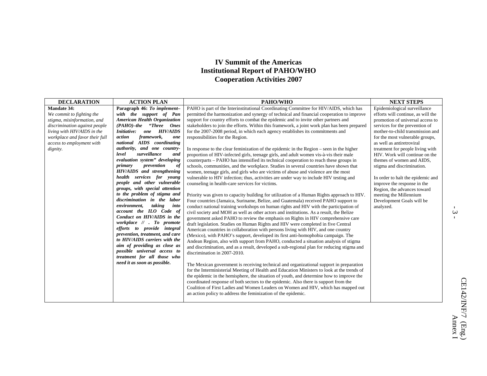| <b>DECLARATION</b>             | <b>ACTION PLAN</b>                           | PAHO/WHO                                                                                     | <b>NEXT STEPS</b>                  |
|--------------------------------|----------------------------------------------|----------------------------------------------------------------------------------------------|------------------------------------|
| <b>Mandate 34:</b>             | Paragraph 46: To implement-                  | PAHO is part of the Interinstitutional Coordinating Committee for HIV/AIDS, which has        | Epidemiological surveillance       |
| We commit to fighting the      | with the support of Pan                      | permitted the harmonization and synergy of technical and financial cooperation to improve    | efforts will continue, as will the |
| stigma, misinformation, and    | American Health Organization                 | support for country efforts to combat the epidemic and to invite other partners and          | promotion of universal access to   |
| discrimination against people  | (PAHO)-the "Three Ones                       | stakeholders to join the efforts. Within this framework, a joint work plan has been prepared | services for the prevention of     |
| living with HIV/AIDS in the    | <b>HIV/AIDS</b><br><b>Initiative:</b><br>one | for the 2007-2008 period, in which each agency establishes its commitments and               | mother-to-child transmission and   |
| workplace and favor their full | framework,<br>action<br>one                  | responsibilities for the Region.                                                             | for the most vulnerable groups,    |
| access to employment with      | AIDS coordinating<br>national                |                                                                                              | as well as antiretroviral          |
| dignity.                       | authority, and one country-                  | In response to the clear feminization of the epidemic in the Region – seen in the higher     | treatment for people living with   |
|                                | surveillance<br>level<br>and                 | proportion of HIV-infected girls, teenage girls, and adult women vis-à-vis their male        | HIV. Work will continue on the     |
|                                | evaluation system" developing                | counterparts – PAHO has intensified its technical cooperation to reach these groups in       | themes of women and AIDS,          |
|                                | primary<br>prevention<br>оf                  | schools, communities, and the workplace. Studies in several countries have shown that        | stigma and discrimination.         |
|                                | HIV/AIDS and strengthening                   | women, teenage girls, and girls who are victims of abuse and violence are the most           |                                    |
|                                | health services for young                    | vulnerable to HIV infection; thus, activities are under way to include HIV testing and       | In order to halt the epidemic and  |
|                                | people and other vulnerable                  | counseling in health-care services for victims.                                              | improve the response in the        |
|                                | groups, with special attention               |                                                                                              | Region, the advances toward        |
|                                | to the problem of stigma and                 | Priority was given to capacity building for utilization of a Human Rights approach to HIV.   | meeting the Millennium             |
|                                | discrimination in the labor                  | Four countries (Jamaica, Suriname, Belize, and Guatemala) received PAHO support to           | Development Goals will be          |
|                                | taking<br>environment,<br>into               | conduct national training workshops on human rights and HIV with the participation of        | analyzed.                          |
|                                | account the ILO Code of                      | civil society and MOH as well as other actors and institutions. As a result, the Belize      |                                    |
|                                | Conduct on HIV/AIDS in the                   | government asked PAHO to review the emphasis on Rights in HIV comprehensive care             |                                    |
|                                | workplace // . To promote                    | draft legislation. Studies on Human Rights and HIV were completed in five Central            |                                    |
|                                | efforts to provide integral                  | American countries in collaboration with persons living with HIV, and one country            |                                    |
|                                | prevention, treatment, and care              | (Mexico), with PAHO's support, developed its first anti-homophobia campaign. The             |                                    |
|                                | to HIV/AIDS carriers with the                | Andean Region, also with support from PAHO, conducted a situation analysis of stigma         |                                    |
|                                | aim of providing as close as                 | and discrimination, and as a result, developed a sub-regional plan for reducing stigma and   |                                    |
|                                | possible universal access to                 | discrimination in 2007-2010.                                                                 |                                    |
|                                | treatment for all those who                  |                                                                                              |                                    |
|                                | need it as soon as possible.                 | The Mexican government is receiving technical and organizational support in preparation      |                                    |
|                                |                                              | for the Interministerial Meeting of Health and Education Ministers to look at the trends of  |                                    |
|                                |                                              | the epidemic in the hemisphere, the situation of youth, and determine how to improve the     |                                    |
|                                |                                              | coordinated response of both sectors to the epidemic. Also there is support from the         |                                    |
|                                |                                              | Coalition of First Ladies and Women Leaders on Women and HIV, which has mapped out           |                                    |
|                                |                                              | an action policy to address the feminization of the epidemic.                                |                                    |
|                                |                                              |                                                                                              |                                    |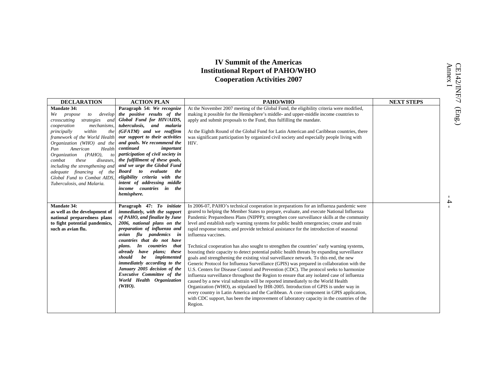| <b>DECLARATION</b>                                                                                                                                                                                                                                                                                                                                                                                                                                   | <b>ACTION PLAN</b>                                                                                                                                                                                                                                                                                                                                                                                                                                                                             | PAHO/WHO                                                                                                                                                                                                                                                                                                                                                                                                                                                                                                                                                                                                                                                                                                                                                                                                                                                                                                                                                                                                                                                                                                                                                                                                                                                                                                                                                                                                                                                | <b>NEXT STEPS</b> |
|------------------------------------------------------------------------------------------------------------------------------------------------------------------------------------------------------------------------------------------------------------------------------------------------------------------------------------------------------------------------------------------------------------------------------------------------------|------------------------------------------------------------------------------------------------------------------------------------------------------------------------------------------------------------------------------------------------------------------------------------------------------------------------------------------------------------------------------------------------------------------------------------------------------------------------------------------------|---------------------------------------------------------------------------------------------------------------------------------------------------------------------------------------------------------------------------------------------------------------------------------------------------------------------------------------------------------------------------------------------------------------------------------------------------------------------------------------------------------------------------------------------------------------------------------------------------------------------------------------------------------------------------------------------------------------------------------------------------------------------------------------------------------------------------------------------------------------------------------------------------------------------------------------------------------------------------------------------------------------------------------------------------------------------------------------------------------------------------------------------------------------------------------------------------------------------------------------------------------------------------------------------------------------------------------------------------------------------------------------------------------------------------------------------------------|-------------------|
| <b>Mandate 34:</b><br>develop<br>We<br>propose<br>to<br>strategies<br>crosscutting<br>and<br>mechanisms,<br>cooperation<br>principally<br>within<br>the<br>framework of the World Health<br>Organization (WHO) and the<br>American<br>Health<br>Pan<br>$(PAHO)$ ,<br>Organization<br>to<br>combat<br>these<br>diseases.<br>including the strengthening and<br>adequate financing of the<br>Global Fund to Combat AIDS,<br>Tuberculosis, and Malaria. | Paragraph 54: We recognize<br>the positive results of the<br>Global Fund for HIV/AIDS,<br>tuberculosis, and malaria<br>(GFATM) and we reaffirm<br>our support to their activities<br>and goals. We recommend the<br>continued<br>important<br>participation of civil society in<br>the fulfillment of these goals,<br>and we urge the Global Fund<br><b>Board</b> to evaluate<br>the<br>eligibility criteria with the<br>intent of addressing middle<br>income countries in the<br>hemisphere. | At the November 2007 meeting of the Global Fund, the eligibility criteria were modified,<br>making it possible for the Hemisphere's middle- and upper-middle income countries to<br>apply and submit proposals to the Fund, thus fulfilling the mandate.<br>At the Eighth Round of the Global Fund for Latin American and Caribbean countries, there<br>was significant participation by organized civil society and especially people living with<br>HIV.                                                                                                                                                                                                                                                                                                                                                                                                                                                                                                                                                                                                                                                                                                                                                                                                                                                                                                                                                                                              |                   |
| <b>Mandate 34:</b><br>as well as the development of<br>national preparedness plans<br>to fight potential pandemics,<br>such as avian flu.                                                                                                                                                                                                                                                                                                            | Paragraph 47: To initiate<br><i>immediately, with the support</i><br>of PAHO, and finalize by June<br>2006, national plans on the<br>preparation of influenza and<br>avian flu pandemics in<br>countries that do not have<br>plans. In countries that<br>have plans; these<br>already<br>should<br>be<br>implemented<br>immediately according to the<br>January 2005 decision of the<br>Executive Committee of the<br>World Health Organization<br>$(WHO)$ .                                   | In 2006-07, PAHO's technical cooperation in preparations for an influenza pandemic were<br>geared to helping the Member States to prepare, evaluate, and execute National Influenza<br>Pandemic Preparedness Plans (NIPPP); strengthen core surveillance skills at the community<br>level and establish early warning systems for public health emergencies; create and train<br>rapid response teams; and provide technical assistance for the introduction of seasonal<br>influenza vaccines.<br>Technical cooperation has also sought to strengthen the countries' early warning systems,<br>boosting their capacity to detect potential public health threats by expanding surveillance<br>goals and strengthening the existing viral surveillance network. To this end, the new<br>Generic Protocol for Influenza Surveillance (GPIS) was prepared in collaboration with the<br>U.S. Centers for Disease Control and Prevention (CDC). The protocol seeks to harmonize<br>influenza surveillance throughout the Region to ensure that any isolated case of influenza<br>caused by a new viral substrain will be reported immediately to the World Health<br>Organization (WHO), as stipulated by IHR-2005. Introduction of GPIS is under way in<br>every country in Latin America and the Caribbean. A core component in GPIS application,<br>with CDC support, has been the improvement of laboratory capacity in the countries of the<br>Region. |                   |

 $-4 -$